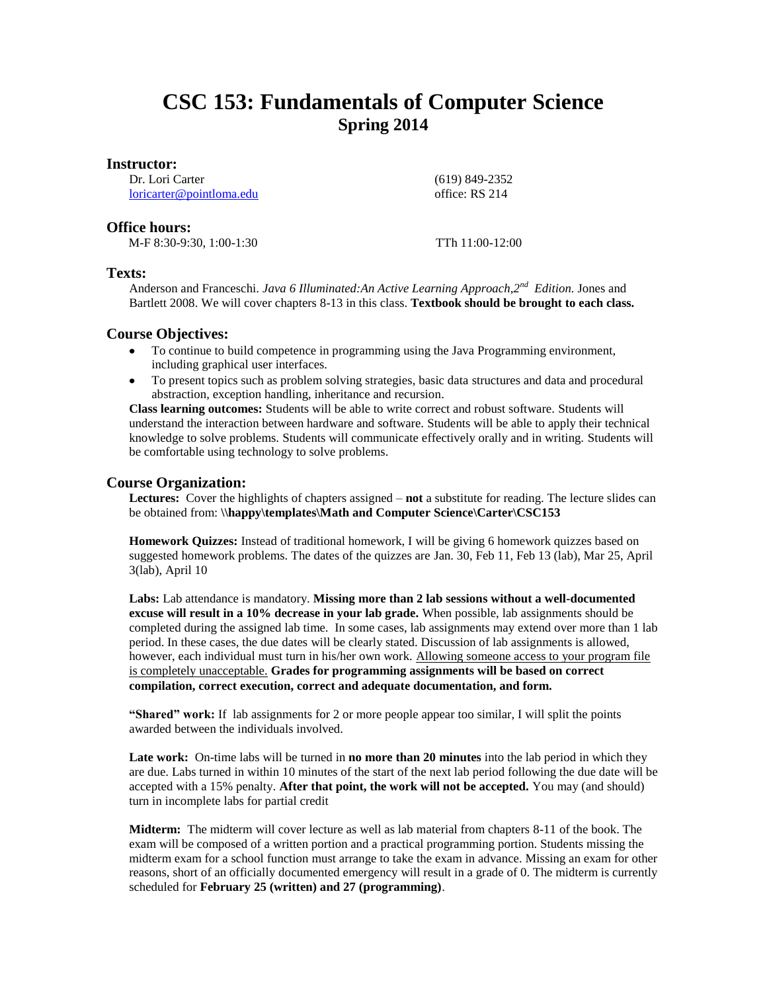# **CSC 153: Fundamentals of Computer Science Spring 2014**

## **Instructor:**

Dr. Lori Carter [loricarter@pointloma.edu](mailto:loricarter@pointloma.edu)  (619) 849-2352 office: RS 214

# **Office hours:**

M-F 8:30-9:30, 1:00-1:30 TTh 11:00-12:00

# **Texts:**

Anderson and Franceschi. *Java 6 Illuminated:An Active Learning Approach,2nd Edition.* Jones and Bartlett 2008. We will cover chapters 8-13 in this class. **Textbook should be brought to each class.**

# **Course Objectives:**

- To continue to build competence in programming using the Java Programming environment, including graphical user interfaces.
- To present topics such as problem solving strategies, basic data structures and data and procedural abstraction, exception handling, inheritance and recursion.

**Class learning outcomes:** Students will be able to write correct and robust software. Students will understand the interaction between hardware and software. Students will be able to apply their technical knowledge to solve problems. Students will communicate effectively orally and in writing. Students will be comfortable using technology to solve problems.

# **Course Organization:**

**Lectures:** Cover the highlights of chapters assigned – **not** a substitute for reading. The lecture slides can be obtained from: **\\happy\templates\Math and Computer Science\Carter\CSC153**

**Homework Quizzes:** Instead of traditional homework, I will be giving 6 homework quizzes based on suggested homework problems. The dates of the quizzes are Jan. 30, Feb 11, Feb 13 (lab), Mar 25, April 3(lab), April 10

**Labs:** Lab attendance is mandatory. **Missing more than 2 lab sessions without a well-documented excuse will result in a 10% decrease in your lab grade.** When possible, lab assignments should be completed during the assigned lab time. In some cases, lab assignments may extend over more than 1 lab period. In these cases, the due dates will be clearly stated. Discussion of lab assignments is allowed, however, each individual must turn in his/her own work. Allowing someone access to your program file is completely unacceptable. **Grades for programming assignments will be based on correct compilation, correct execution, correct and adequate documentation, and form.** 

**"Shared" work:** If lab assignments for 2 or more people appear too similar, I will split the points awarded between the individuals involved.

**Late work:** On-time labs will be turned in **no more than 20 minutes** into the lab period in which they are due. Labs turned in within 10 minutes of the start of the next lab period following the due date will be accepted with a 15% penalty. **After that point, the work will not be accepted.** You may (and should) turn in incomplete labs for partial credit

**Midterm:** The midterm will cover lecture as well as lab material from chapters 8-11 of the book. The exam will be composed of a written portion and a practical programming portion. Students missing the midterm exam for a school function must arrange to take the exam in advance. Missing an exam for other reasons, short of an officially documented emergency will result in a grade of 0. The midterm is currently scheduled for **February 25 (written) and 27 (programming)**.